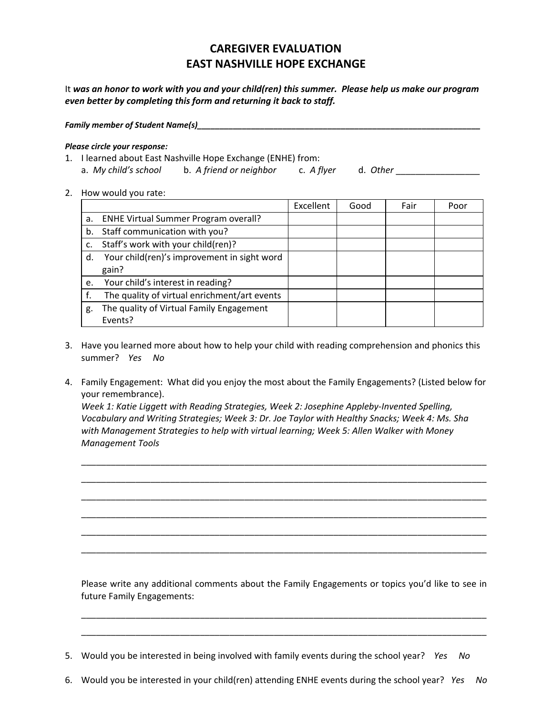## **CAREGIVER EVALUATION EAST NASHVILLE HOPE EXCHANGE**

It *was an honor to work with you and your child(ren) this summer. Please help us make our program even better by completing this form and returning it back to staff.*

*Family member of Student Name(s)\_\_\_\_\_\_\_\_\_\_\_\_\_\_\_\_\_\_\_\_\_\_\_\_\_\_\_\_\_\_\_\_\_\_\_\_\_\_\_\_\_\_\_\_\_\_\_\_\_\_\_\_\_\_\_\_\_\_\_\_\_\_\_*

## *Please circle your response:*

1. I learned about East Nashville Hope Exchange (ENHE) from: a. *My child's school* b. *A friend or neighbor* c. *A flyer* d. *Other* \_\_\_\_\_\_\_\_\_\_\_\_\_\_\_\_\_

2. How would you rate:

|    |                                              | Excellent | Good | Fair | Poor |
|----|----------------------------------------------|-----------|------|------|------|
| a. | <b>ENHE Virtual Summer Program overall?</b>  |           |      |      |      |
| b. | Staff communication with you?                |           |      |      |      |
| c. | Staff's work with your child(ren)?           |           |      |      |      |
| d. | Your child(ren)'s improvement in sight word  |           |      |      |      |
|    | gain?                                        |           |      |      |      |
| e. | Your child's interest in reading?            |           |      |      |      |
|    | The quality of virtual enrichment/art events |           |      |      |      |
| g. | The quality of Virtual Family Engagement     |           |      |      |      |
|    | Events?                                      |           |      |      |      |

- 3. Have you learned more about how to help your child with reading comprehension and phonics this summer? *Yes No*
- 4. Family Engagement: What did you enjoy the most about the Family Engagements? (Listed below for your remembrance).

*Week 1: Katie Liggett with Reading Strategies, Week 2: Josephine Appleby-Invented Spelling, Vocabulary and Writing Strategies; Week 3: Dr. Joe Taylor with Healthy Snacks; Week 4: Ms. Sha with Management Strategies to help with virtual learning; Week 5: Allen Walker with Money Management Tools*

\_\_\_\_\_\_\_\_\_\_\_\_\_\_\_\_\_\_\_\_\_\_\_\_\_\_\_\_\_\_\_\_\_\_\_\_\_\_\_\_\_\_\_\_\_\_\_\_\_\_\_\_\_\_\_\_\_\_\_\_\_\_\_\_\_\_\_\_\_\_\_\_\_\_\_\_\_\_\_\_\_\_ \_\_\_\_\_\_\_\_\_\_\_\_\_\_\_\_\_\_\_\_\_\_\_\_\_\_\_\_\_\_\_\_\_\_\_\_\_\_\_\_\_\_\_\_\_\_\_\_\_\_\_\_\_\_\_\_\_\_\_\_\_\_\_\_\_\_\_\_\_\_\_\_\_\_\_\_\_\_\_\_\_\_ \_\_\_\_\_\_\_\_\_\_\_\_\_\_\_\_\_\_\_\_\_\_\_\_\_\_\_\_\_\_\_\_\_\_\_\_\_\_\_\_\_\_\_\_\_\_\_\_\_\_\_\_\_\_\_\_\_\_\_\_\_\_\_\_\_\_\_\_\_\_\_\_\_\_\_\_\_\_\_\_\_\_ \_\_\_\_\_\_\_\_\_\_\_\_\_\_\_\_\_\_\_\_\_\_\_\_\_\_\_\_\_\_\_\_\_\_\_\_\_\_\_\_\_\_\_\_\_\_\_\_\_\_\_\_\_\_\_\_\_\_\_\_\_\_\_\_\_\_\_\_\_\_\_\_\_\_\_\_\_\_\_\_\_\_ \_\_\_\_\_\_\_\_\_\_\_\_\_\_\_\_\_\_\_\_\_\_\_\_\_\_\_\_\_\_\_\_\_\_\_\_\_\_\_\_\_\_\_\_\_\_\_\_\_\_\_\_\_\_\_\_\_\_\_\_\_\_\_\_\_\_\_\_\_\_\_\_\_\_\_\_\_\_\_\_\_\_ \_\_\_\_\_\_\_\_\_\_\_\_\_\_\_\_\_\_\_\_\_\_\_\_\_\_\_\_\_\_\_\_\_\_\_\_\_\_\_\_\_\_\_\_\_\_\_\_\_\_\_\_\_\_\_\_\_\_\_\_\_\_\_\_\_\_\_\_\_\_\_\_\_\_\_\_\_\_\_\_\_\_

Please write any additional comments about the Family Engagements or topics you'd like to see in future Family Engagements:

\_\_\_\_\_\_\_\_\_\_\_\_\_\_\_\_\_\_\_\_\_\_\_\_\_\_\_\_\_\_\_\_\_\_\_\_\_\_\_\_\_\_\_\_\_\_\_\_\_\_\_\_\_\_\_\_\_\_\_\_\_\_\_\_\_\_\_\_\_\_\_\_\_\_\_\_\_\_\_\_\_\_ \_\_\_\_\_\_\_\_\_\_\_\_\_\_\_\_\_\_\_\_\_\_\_\_\_\_\_\_\_\_\_\_\_\_\_\_\_\_\_\_\_\_\_\_\_\_\_\_\_\_\_\_\_\_\_\_\_\_\_\_\_\_\_\_\_\_\_\_\_\_\_\_\_\_\_\_\_\_\_\_\_\_

5. Would you be interested in being involved with family events during the school year? *Yes No*

6. Would you be interested in your child(ren) attending ENHE events during the school year? *Yes No*